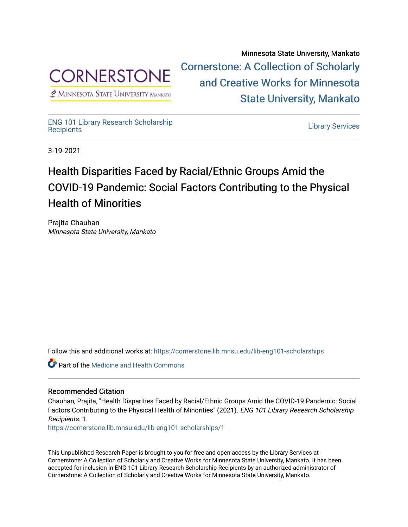

 $<sup>2</sup>$  Minnesota State University Mankato</sup>

Minnesota State University, Mankato [Cornerstone: A Collection of Scholarly](https://cornerstone.lib.mnsu.edu/)  [and Creative Works for Minnesota](https://cornerstone.lib.mnsu.edu/)  [State University, Mankato](https://cornerstone.lib.mnsu.edu/) 

[ENG 101 Library Research Scholarship](https://cornerstone.lib.mnsu.edu/lib-eng101-scholarships)

[Recipients](https://cornerstone.lib.mnsu.edu/lib-eng101-scholarships) [Library Services](https://cornerstone.lib.mnsu.edu/lib_services) 

3-19-2021

## Health Disparities Faced by Racial/Ethnic Groups Amid the COVID-19 Pandemic: Social Factors Contributing to the Physical Health of Minorities

Prajita Chauhan Minnesota State University, Mankato

Follow this and additional works at: [https://cornerstone.lib.mnsu.edu/lib-eng101-scholarships](https://cornerstone.lib.mnsu.edu/lib-eng101-scholarships?utm_source=cornerstone.lib.mnsu.edu%2Flib-eng101-scholarships%2F1&utm_medium=PDF&utm_campaign=PDFCoverPages)

Part of the [Medicine and Health Commons](http://network.bepress.com/hgg/discipline/422?utm_source=cornerstone.lib.mnsu.edu%2Flib-eng101-scholarships%2F1&utm_medium=PDF&utm_campaign=PDFCoverPages) 

#### Recommended Citation

Chauhan, Prajita, "Health Disparities Faced by Racial/Ethnic Groups Amid the COVID-19 Pandemic: Social Factors Contributing to the Physical Health of Minorities" (2021). ENG 101 Library Research Scholarship Recipients. 1.

[https://cornerstone.lib.mnsu.edu/lib-eng101-scholarships/1](https://cornerstone.lib.mnsu.edu/lib-eng101-scholarships/1?utm_source=cornerstone.lib.mnsu.edu%2Flib-eng101-scholarships%2F1&utm_medium=PDF&utm_campaign=PDFCoverPages)

This Unpublished Research Paper is brought to you for free and open access by the Library Services at Cornerstone: A Collection of Scholarly and Creative Works for Minnesota State University, Mankato. It has been accepted for inclusion in ENG 101 Library Research Scholarship Recipients by an authorized administrator of Cornerstone: A Collection of Scholarly and Creative Works for Minnesota State University, Mankato.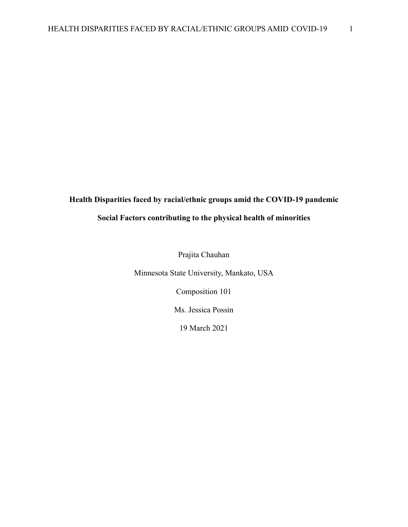# **Health Disparities faced by racial/ethnic groups amid the COVID-19 pandemic**

### **Social Factors contributing to the physical health of minorities**

Prajita Chauhan

Minnesota State University, Mankato, USA

Composition 101

Ms. Jessica Possin

19 March 2021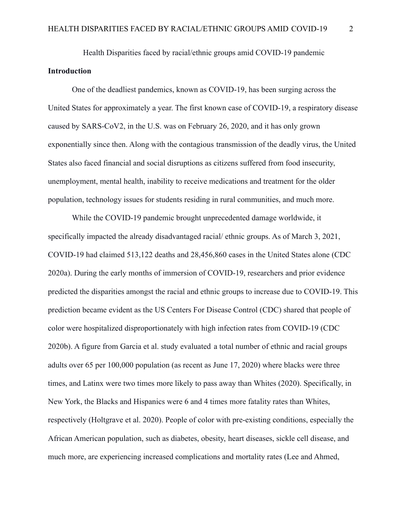Health Disparities faced by racial/ethnic groups amid COVID-19 pandemic **Introduction**

One of the deadliest pandemics, known as COVID-19, has been surging across the United States for approximately a year. The first known case of COVID-19, a respiratory disease caused by SARS-CoV2, in the U.S. was on February 26, 2020, and it has only grown exponentially since then. Along with the contagious transmission of the deadly virus, the United States also faced financial and social disruptions as citizens suffered from food insecurity, unemployment, mental health, inability to receive medications and treatment for the older population, technology issues for students residing in rural communities, and much more.

While the COVID-19 pandemic brought unprecedented damage worldwide, it specifically impacted the already disadvantaged racial/ ethnic groups. As of March 3, 2021, COVID-19 had claimed 513,122 deaths and 28,456,860 cases in the United States alone (CDC 2020a). During the early months of immersion of COVID-19, researchers and prior evidence predicted the disparities amongst the racial and ethnic groups to increase due to COVID-19. This prediction became evident as the US Centers For Disease Control (CDC) shared that people of color were hospitalized disproportionately with high infection rates from COVID-19 (CDC 2020b). A figure from Garcia et al. study evaluated a total number of ethnic and racial groups adults over 65 per 100,000 population (as recent as June 17, 2020) where blacks were three times, and Latinx were two times more likely to pass away than Whites (2020). Specifically, in New York, the Blacks and Hispanics were 6 and 4 times more fatality rates than Whites, respectively (Holtgrave et al. 2020). People of color with pre-existing conditions, especially the African American population, such as diabetes, obesity, heart diseases, sickle cell disease, and much more, are experiencing increased complications and mortality rates (Lee and Ahmed,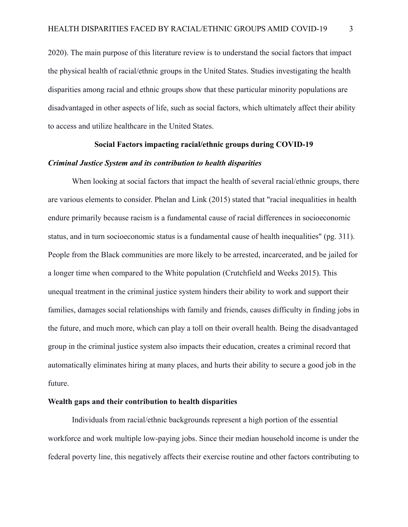2020). The main purpose of this literature review is to understand the social factors that impact the physical health of racial/ethnic groups in the United States. Studies investigating the health disparities among racial and ethnic groups show that these particular minority populations are disadvantaged in other aspects of life, such as social factors, which ultimately affect their ability to access and utilize healthcare in the United States.

#### **Social Factors impacting racial/ethnic groups during COVID-19**

#### *Criminal Justice System and its contribution to health disparities*

When looking at social factors that impact the health of several racial/ethnic groups, there are various elements to consider. Phelan and Link (2015) stated that "racial inequalities in health endure primarily because racism is a fundamental cause of racial differences in socioeconomic status, and in turn socioeconomic status is a fundamental cause of health inequalities" (pg. 311). People from the Black communities are more likely to be arrested, incarcerated, and be jailed for a longer time when compared to the White population (Crutchfield and Weeks 2015). This unequal treatment in the criminal justice system hinders their ability to work and support their families, damages social relationships with family and friends, causes difficulty in finding jobs in the future, and much more, which can play a toll on their overall health. Being the disadvantaged group in the criminal justice system also impacts their education, creates a criminal record that automatically eliminates hiring at many places, and hurts their ability to secure a good job in the future.

#### **Wealth gaps and their contribution to health disparities**

Individuals from racial/ethnic backgrounds represent a high portion of the essential workforce and work multiple low-paying jobs. Since their median household income is under the federal poverty line, this negatively affects their exercise routine and other factors contributing to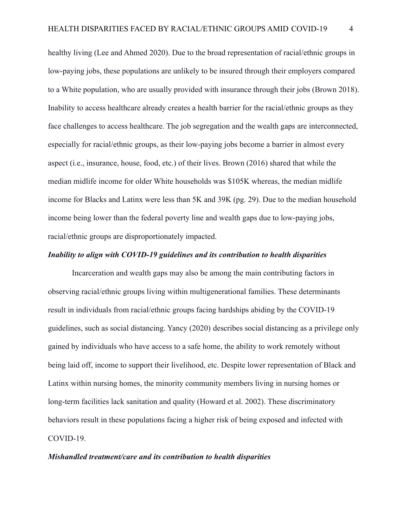healthy living (Lee and Ahmed 2020). Due to the broad representation of racial/ethnic groups in low-paying jobs, these populations are unlikely to be insured through their employers compared to a White population, who are usually provided with insurance through their jobs (Brown 2018). Inability to access healthcare already creates a health barrier for the racial/ethnic groups as they face challenges to access healthcare. The job segregation and the wealth gaps are interconnected, especially for racial/ethnic groups, as their low-paying jobs become a barrier in almost every aspect (i.e., insurance, house, food, etc.) of their lives. Brown (2016) shared that while the median midlife income for older White households was \$105K whereas, the median midlife income for Blacks and Latinx were less than 5K and 39K (pg. 29). Due to the median household income being lower than the federal poverty line and wealth gaps due to low-paying jobs, racial/ethnic groups are disproportionately impacted.

#### *Inability to align with COVID-19 guidelines and its contribution to health disparities*

Incarceration and wealth gaps may also be among the main contributing factors in observing racial/ethnic groups living within multigenerational families. These determinants result in individuals from racial/ethnic groups facing hardships abiding by the COVID-19 guidelines, such as social distancing. Yancy (2020) describes social distancing as a privilege only gained by individuals who have access to a safe home, the ability to work remotely without being laid off, income to support their livelihood, etc. Despite lower representation of Black and Latinx within nursing homes, the minority community members living in nursing homes or long-term facilities lack sanitation and quality (Howard et al. 2002). These discriminatory behaviors result in these populations facing a higher risk of being exposed and infected with COVID-19.

#### *Mishandled treatment/care and its contribution to health disparities*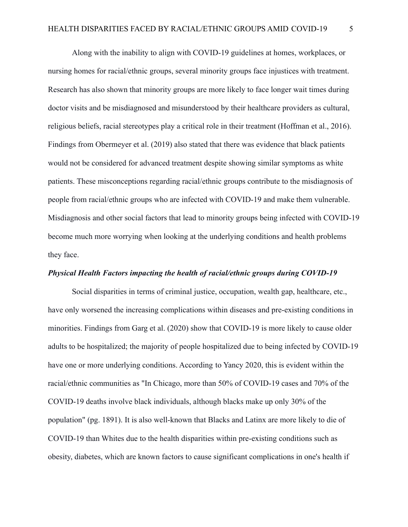Along with the inability to align with COVID-19 guidelines at homes, workplaces, or nursing homes for racial/ethnic groups, several minority groups face injustices with treatment. Research has also shown that minority groups are more likely to face longer wait times during doctor visits and be misdiagnosed and misunderstood by their healthcare providers as cultural, religious beliefs, racial stereotypes play a critical role in their treatment (Hoffman et al., 2016). Findings from Obermeyer et al. (2019) also stated that there was evidence that black patients would not be considered for advanced treatment despite showing similar symptoms as white patients. These misconceptions regarding racial/ethnic groups contribute to the misdiagnosis of people from racial/ethnic groups who are infected with COVID-19 and make them vulnerable. Misdiagnosis and other social factors that lead to minority groups being infected with COVID-19 become much more worrying when looking at the underlying conditions and health problems they face.

#### *Physical Health Factors impacting the health of racial/ethnic groups during COVID-19*

Social disparities in terms of criminal justice, occupation, wealth gap, healthcare, etc., have only worsened the increasing complications within diseases and pre-existing conditions in minorities. Findings from Garg et al. (2020) show that COVID-19 is more likely to cause older adults to be hospitalized; the majority of people hospitalized due to being infected by COVID-19 have one or more underlying conditions. According to Yancy 2020, this is evident within the racial/ethnic communities as "In Chicago, more than 50% of COVID-19 cases and 70% of the COVID-19 deaths involve black individuals, although blacks make up only 30% of the population" (pg. 1891). It is also well-known that Blacks and Latinx are more likely to die of COVID-19 than Whites due to the health disparities within pre-existing conditions such as obesity, diabetes, which are known factors to cause significant complications in one's health if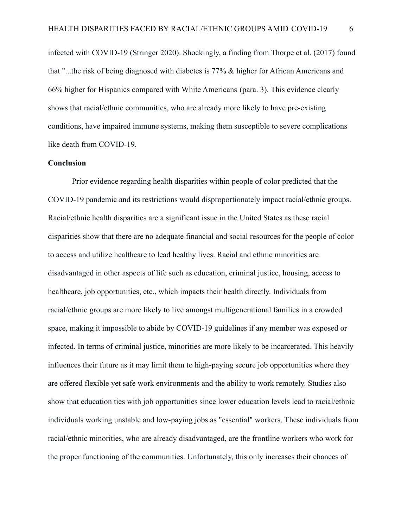infected with COVID-19 (Stringer 2020). Shockingly, a finding from Thorpe et al. (2017) found that "...the risk of being diagnosed with diabetes is 77% & higher for African Americans and 66% higher for Hispanics compared with White Americans (para. 3). This evidence clearly shows that racial/ethnic communities, who are already more likely to have pre-existing conditions, have impaired immune systems, making them susceptible to severe complications like death from COVID-19.

#### **Conclusion**

Prior evidence regarding health disparities within people of color predicted that the COVID-19 pandemic and its restrictions would disproportionately impact racial/ethnic groups. Racial/ethnic health disparities are a significant issue in the United States as these racial disparities show that there are no adequate financial and social resources for the people of color to access and utilize healthcare to lead healthy lives. Racial and ethnic minorities are disadvantaged in other aspects of life such as education, criminal justice, housing, access to healthcare, job opportunities, etc., which impacts their health directly. Individuals from racial/ethnic groups are more likely to live amongst multigenerational families in a crowded space, making it impossible to abide by COVID-19 guidelines if any member was exposed or infected. In terms of criminal justice, minorities are more likely to be incarcerated. This heavily influences their future as it may limit them to high-paying secure job opportunities where they are offered flexible yet safe work environments and the ability to work remotely. Studies also show that education ties with job opportunities since lower education levels lead to racial/ethnic individuals working unstable and low-paying jobs as "essential" workers. These individuals from racial/ethnic minorities, who are already disadvantaged, are the frontline workers who work for the proper functioning of the communities. Unfortunately, this only increases their chances of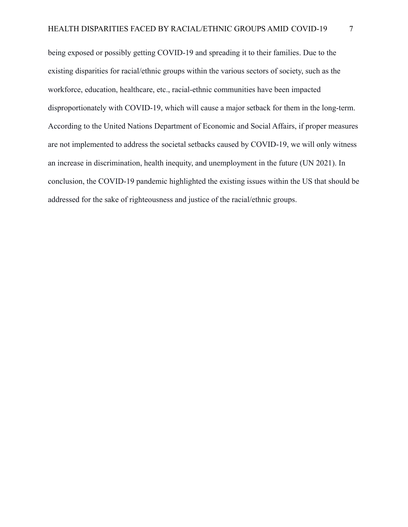being exposed or possibly getting COVID-19 and spreading it to their families. Due to the existing disparities for racial/ethnic groups within the various sectors of society, such as the workforce, education, healthcare, etc., racial-ethnic communities have been impacted disproportionately with COVID-19, which will cause a major setback for them in the long-term. According to the United Nations Department of Economic and Social Affairs, if proper measures are not implemented to address the societal setbacks caused by COVID-19, we will only witness an increase in discrimination, health inequity, and unemployment in the future (UN 2021). In conclusion, the COVID-19 pandemic highlighted the existing issues within the US that should be addressed for the sake of righteousness and justice of the racial/ethnic groups.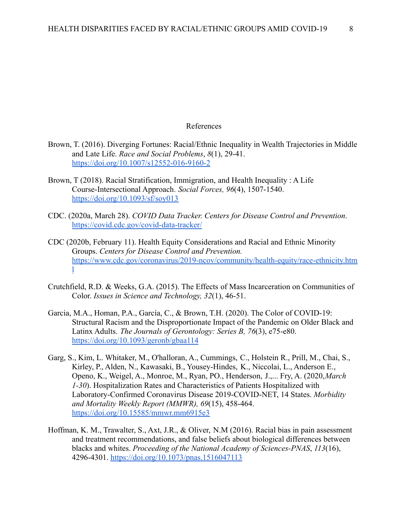#### References

- Brown, T. (2016). Diverging Fortunes: Racial/Ethnic Inequality in Wealth Trajectories in Middle and Late Life. *Race and Social Problems*, *8*(1), 29-41. <https://doi.org/10.1007/s12552-016-9160-2>
- Brown, T (2018). Racial Stratification, Immigration, and Health Inequality : A Life Course-Intersectional Approach*. Social Forces, 96*(4), 1507-1540. <https://doi.org/10.1093/sf/soy013>
- CDC. (2020a, March 28). *COVID Data Tracker. Centers for Disease Control and Prevention*. <https://covid.cdc.gov/covid-data-tracker/>
- CDC (2020b, February 11). Health Equity Considerations and Racial and Ethnic Minority Groups. *Centers for Disease Control and Prevention.* [https://www.cdc.gov/coronavirus/2019-ncov/community/health-equity/race-ethnicity.htm](https://www.cdc.gov/coronavirus/2019-ncov/community/health-equity/race-ethnicity.html) [l](https://www.cdc.gov/coronavirus/2019-ncov/community/health-equity/race-ethnicity.html)
- Crutchfield, R.D. & Weeks, G.A. (2015). The Effects of Mass Incarceration on Communities of Color. *Issues in Science and Technology, 32*(1), 46-51.
- Garcia, M.A., Homan, P.A., García, C., & Brown, T.H. (2020). The Color of COVID-19: Structural Racism and the Disproportionate Impact of the Pandemic on Older Black and Latinx Adults. *The Journals of Gerontology: Series B, 76*(3), e75-e80. <https://doi.org/10.1093/geronb/gbaa114>
- Garg, S., Kim, L. Whitaker, M., O'halloran, A., Cummings, C., Holstein R., Prill, M., Chai, S., Kirley, P., Alden, N., Kawasaki, B., Yousey-Hindes, K., Niccolai, L., Anderson E., Openo, K., Weigel, A., Monroe, M., Ryan, PO., Henderson, J.,... Fry, A. (2020,*March 1-30*). Hospitalization Rates and Characteristics of Patients Hospitalized with Laboratory-Confirmed Coronavirus Disease 2019-COVID-NET, 14 States. *Morbidity and Mortality Weekly Report (MMWR), 69*(15), 458-464. <https://doi.org/10.15585/mmwr.mm6915e3>
- Hoffman, K. M., Trawalter, S., Axt, J.R., & Oliver, N.M (2016). Racial bias in pain assessment and treatment recommendations, and false beliefs about biological differences between blacks and whites. *Proceeding of the National Academy of Sciences-PNAS*, *113*(16), 4296-4301. <https://doi.org/10.1073/pnas.1516047113>